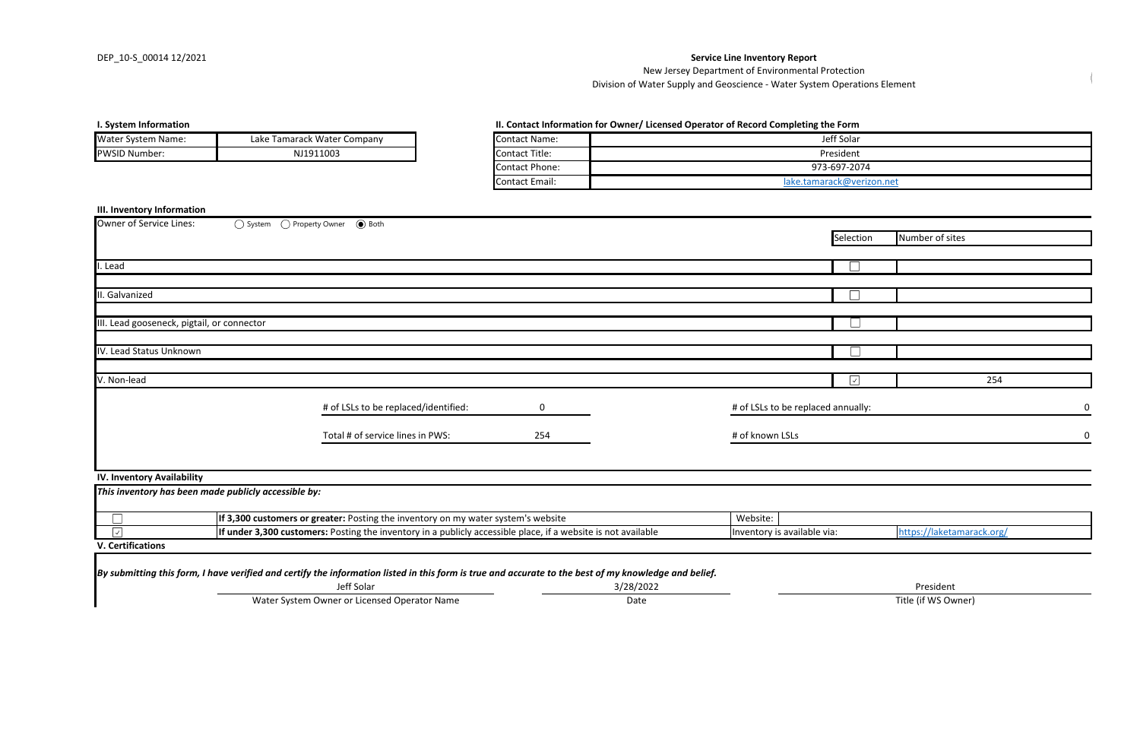## **I. System Information for Owner/ Licensed Operator II.** Completing the Formation for  $\Pi$ .

| Owner of Service Lines:                              | ○ System ● Property Owner ● Both                                                  |                                                                                                                                                       |                                                          |                                    |            |                 |
|------------------------------------------------------|-----------------------------------------------------------------------------------|-------------------------------------------------------------------------------------------------------------------------------------------------------|----------------------------------------------------------|------------------------------------|------------|-----------------|
|                                                      |                                                                                   |                                                                                                                                                       |                                                          |                                    | Selection  | Number of sites |
|                                                      |                                                                                   |                                                                                                                                                       |                                                          |                                    |            |                 |
| I. Lead                                              |                                                                                   |                                                                                                                                                       |                                                          |                                    |            |                 |
|                                                      |                                                                                   |                                                                                                                                                       |                                                          |                                    |            |                 |
| II. Galvanized                                       |                                                                                   |                                                                                                                                                       |                                                          |                                    |            |                 |
|                                                      |                                                                                   |                                                                                                                                                       |                                                          |                                    |            |                 |
| III. Lead gooseneck, pigtail, or connector           |                                                                                   |                                                                                                                                                       |                                                          |                                    |            |                 |
|                                                      |                                                                                   |                                                                                                                                                       |                                                          |                                    |            |                 |
| IV. Lead Status Unknown                              |                                                                                   |                                                                                                                                                       |                                                          |                                    |            |                 |
| V. Non-lead                                          |                                                                                   |                                                                                                                                                       |                                                          |                                    | $\sqrt{ }$ | 254             |
|                                                      |                                                                                   |                                                                                                                                                       |                                                          |                                    |            |                 |
|                                                      |                                                                                   | # of LSLs to be replaced/identified:                                                                                                                  | $\mathbf 0$                                              | # of LSLs to be replaced annually: |            | 0               |
|                                                      |                                                                                   | Total # of service lines in PWS:                                                                                                                      | 254                                                      | # of known LSLs                    |            | $\mathbf 0$     |
|                                                      |                                                                                   |                                                                                                                                                       |                                                          |                                    |            |                 |
| <b>IV. Inventory Availability</b>                    |                                                                                   |                                                                                                                                                       |                                                          |                                    |            |                 |
| This inventory has been made publicly accessible by: |                                                                                   |                                                                                                                                                       |                                                          |                                    |            |                 |
|                                                      | If 3,300 customers or greater: Posting the inventory on my water system's website |                                                                                                                                                       |                                                          | Website:                           |            |                 |
| $\overline{\mathcal{A}}$                             |                                                                                   | If under 3,300 customers: Posting the inventory in a publicly accessible place, if a website is not available                                         | Inventory is available via:<br>https://laketamarack.org/ |                                    |            |                 |
| <b>V. Certifications</b>                             |                                                                                   |                                                                                                                                                       |                                                          |                                    |            |                 |
|                                                      |                                                                                   |                                                                                                                                                       |                                                          |                                    |            |                 |
|                                                      |                                                                                   | By submitting this form, I have verified and certify the information listed in this form is true and accurate to the best of my knowledge and belief. |                                                          |                                    |            |                 |

Water System Owner or Licensed Operator Name **Title (if WS Owner)** Date Date Title (if WS Owner)

## **III. Inventory Information**

| II. Contact Information for Owner/ Licensed Operator of Record Completing the Form |                           |  |  |  |  |  |
|------------------------------------------------------------------------------------|---------------------------|--|--|--|--|--|
| Contact Name:                                                                      | Jeff Solar                |  |  |  |  |  |
| Contact Title:                                                                     | President                 |  |  |  |  |  |
| Contact Phone:                                                                     | 973-697-2074              |  |  |  |  |  |
| Contact Email:                                                                     | lake.tamarack@verizon.net |  |  |  |  |  |

| <b>Water System Name:</b> | Lake Tamarack Water Company | <b>IContact Name:</b> |
|---------------------------|-----------------------------|-----------------------|
| <b>PWSID Number:</b>      | NJ1911003                   | Contact Title:        |

Division of Water Supply and Geoscience - Water System Operations Element

Jeff Solar 3/28/2022 President